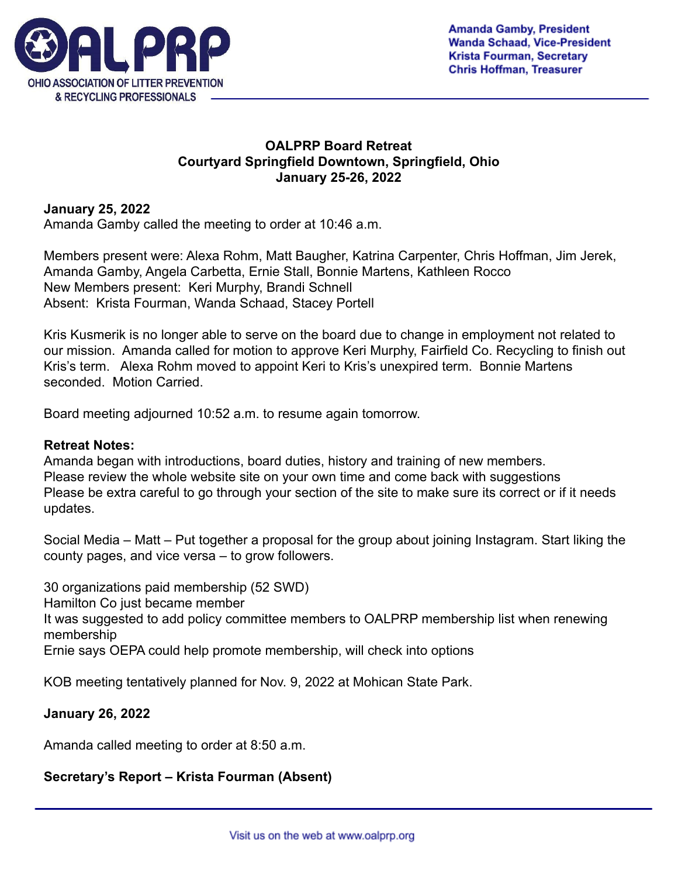

## **OALPRP Board Retreat Courtyard Springfield Downtown, Springfield, Ohio January 25-26, 2022**

## **January 25, 2022**

Amanda Gamby called the meeting to order at 10:46 a.m.

Members present were: Alexa Rohm, Matt Baugher, Katrina Carpenter, Chris Hoffman, Jim Jerek, Amanda Gamby, Angela Carbetta, Ernie Stall, Bonnie Martens, Kathleen Rocco New Members present: Keri Murphy, Brandi Schnell Absent: Krista Fourman, Wanda Schaad, Stacey Portell

Kris Kusmerik is no longer able to serve on the board due to change in employment not related to our mission. Amanda called for motion to approve Keri Murphy, Fairfield Co. Recycling to finish out Kris's term. Alexa Rohm moved to appoint Keri to Kris's unexpired term. Bonnie Martens seconded. Motion Carried.

Board meeting adjourned 10:52 a.m. to resume again tomorrow.

#### **Retreat Notes:**

Amanda began with introductions, board duties, history and training of new members. Please review the whole website site on your own time and come back with suggestions Please be extra careful to go through your section of the site to make sure its correct or if it needs updates.

Social Media – Matt – Put together a proposal for the group about joining Instagram. Start liking the county pages, and vice versa – to grow followers.

30 organizations paid membership (52 SWD) Hamilton Co just became member It was suggested to add policy committee members to OALPRP membership list when renewing membership Ernie says OEPA could help promote membership, will check into options

KOB meeting tentatively planned for Nov. 9, 2022 at Mohican State Park.

#### **January 26, 2022**

Amanda called meeting to order at 8:50 a.m.

#### **Secretary's Report – Krista Fourman (Absent)**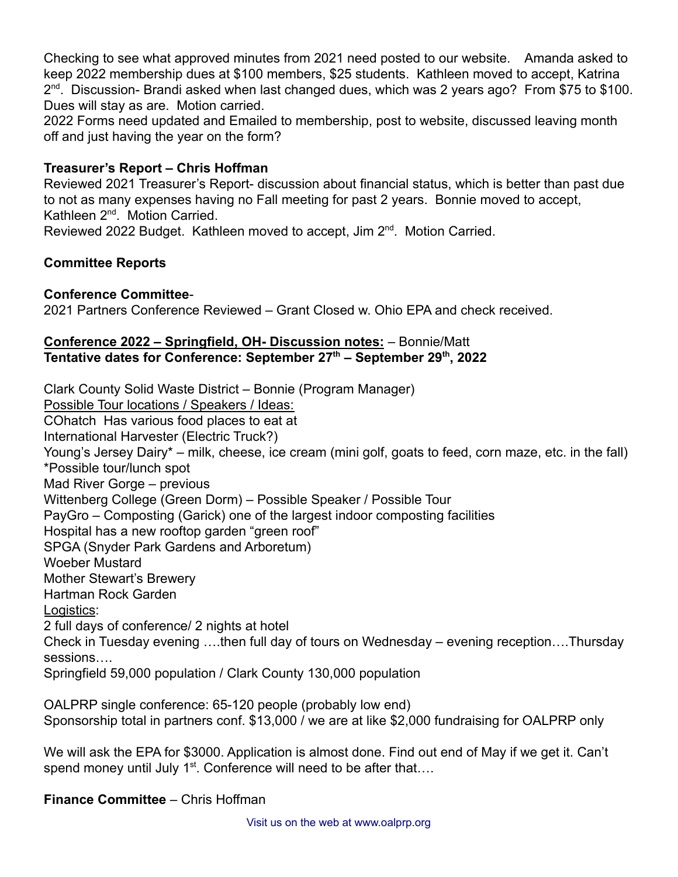Checking to see what approved minutes from 2021 need posted to our website. Amanda asked to keep 2022 membership dues at \$100 members, \$25 students. Kathleen moved to accept, Katrina 2<sup>nd</sup>. Discussion- Brandi asked when last changed dues, which was 2 years ago? From \$75 to \$100. Dues will stay as are. Motion carried.

2022 Forms need updated and Emailed to membership, post to website, discussed leaving month off and just having the year on the form?

## **Treasurer's Report – Chris Hoffman**

Reviewed 2021 Treasurer's Report- discussion about financial status, which is better than past due to not as many expenses having no Fall meeting for past 2 years. Bonnie moved to accept, Kathleen 2<sup>nd</sup>. Motion Carried.

Reviewed 2022 Budget. Kathleen moved to accept, Jim 2<sup>nd</sup>. Motion Carried.

## **Committee Reports**

#### **Conference Committee**-

2021 Partners Conference Reviewed – Grant Closed w. Ohio EPA and check received.

#### **Conference 2022 – Springfield, OH- Discussion notes:** – Bonnie/Matt **Tentative dates for Conference: September 27th – September 29th , 2022**

Clark County Solid Waste District – Bonnie (Program Manager) Possible Tour locations / Speakers / Ideas: COhatch Has various food places to eat at International Harvester (Electric Truck?) Young's Jersey Dairy\* – milk, cheese, ice cream (mini golf, goats to feed, corn maze, etc. in the fall) \*Possible tour/lunch spot Mad River Gorge – previous Wittenberg College (Green Dorm) – Possible Speaker / Possible Tour PayGro – Composting (Garick) one of the largest indoor composting facilities Hospital has a new rooftop garden "green roof" SPGA (Snyder Park Gardens and Arboretum) Woeber Mustard Mother Stewart's Brewery Hartman Rock Garden Logistics: 2 full days of conference/ 2 nights at hotel Check in Tuesday evening ….then full day of tours on Wednesday – evening reception….Thursday sessions…. Springfield 59,000 population / Clark County 130,000 population

OALPRP single conference: 65-120 people (probably low end) Sponsorship total in partners conf. \$13,000 / we are at like \$2,000 fundraising for OALPRP only

We will ask the EPA for \$3000. Application is almost done. Find out end of May if we get it. Can't spend money until July  $1<sup>st</sup>$ . Conference will need to be after that....

**Finance Committee** – Chris Hoffman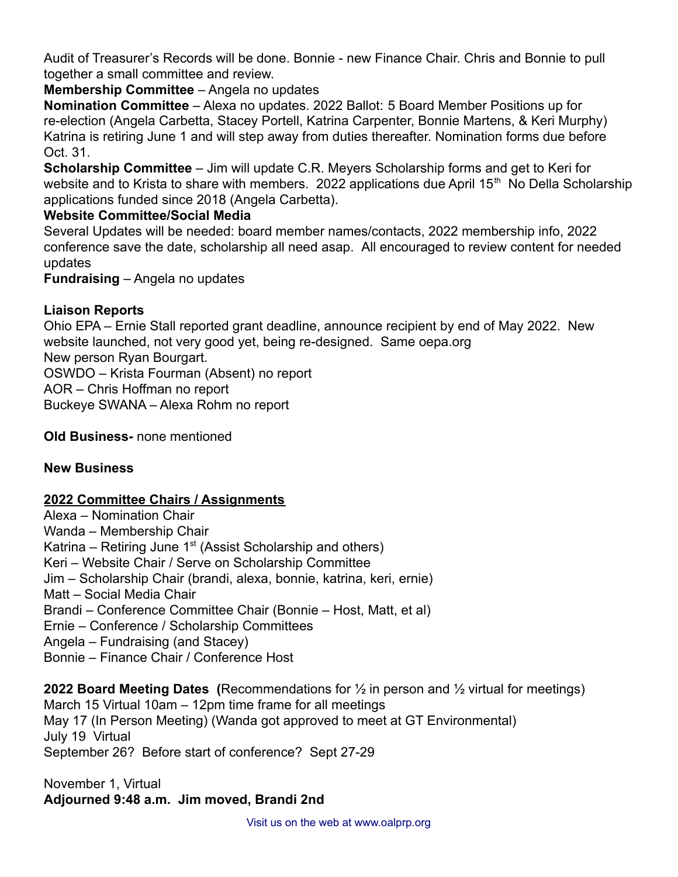Audit of Treasurer's Records will be done. Bonnie - new Finance Chair. Chris and Bonnie to pull together a small committee and review.

**Membership Committee** – Angela no updates

**Nomination Committee** – Alexa no updates. 2022 Ballot: 5 Board Member Positions up for re-election (Angela Carbetta, Stacey Portell, Katrina Carpenter, Bonnie Martens, & Keri Murphy) Katrina is retiring June 1 and will step away from duties thereafter. Nomination forms due before Oct. 31.

**Scholarship Committee** – Jim will update C.R. Meyers Scholarship forms and get to Keri for website and to Krista to share with members. 2022 applications due April 15<sup>th</sup> No Della Scholarship applications funded since 2018 (Angela Carbetta).

# **Website Committee/Social Media**

Several Updates will be needed: board member names/contacts, 2022 membership info, 2022 conference save the date, scholarship all need asap. All encouraged to review content for needed updates

**Fundraising** – Angela no updates

# **Liaison Reports**

Ohio EPA – Ernie Stall reported grant deadline, announce recipient by end of May 2022. New website launched, not very good yet, being re-designed. Same oepa.org New person Ryan Bourgart.

OSWDO – Krista Fourman (Absent) no report

AOR – Chris Hoffman no report

Buckeye SWANA – Alexa Rohm no report

**Old Business-** none mentioned

# **New Business**

# **2022 Committee Chairs / Assignments**

Alexa – Nomination Chair Wanda – Membership Chair Katrina – Retiring June  $1<sup>st</sup>$  (Assist Scholarship and others) Keri – Website Chair / Serve on Scholarship Committee Jim – Scholarship Chair (brandi, alexa, bonnie, katrina, keri, ernie) Matt – Social Media Chair Brandi – Conference Committee Chair (Bonnie – Host, Matt, et al) Ernie – Conference / Scholarship Committees Angela – Fundraising (and Stacey) Bonnie – Finance Chair / Conference Host

**2022 Board Meeting Dates (**Recommendations for ½ in person and ½ virtual for meetings) March 15 Virtual 10am – 12pm time frame for all meetings May 17 (In Person Meeting) (Wanda got approved to meet at GT Environmental) July 19 Virtual September 26? Before start of conference? Sept 27-29

November 1, Virtual **Adjourned 9:48 a.m. Jim moved, Brandi 2nd**